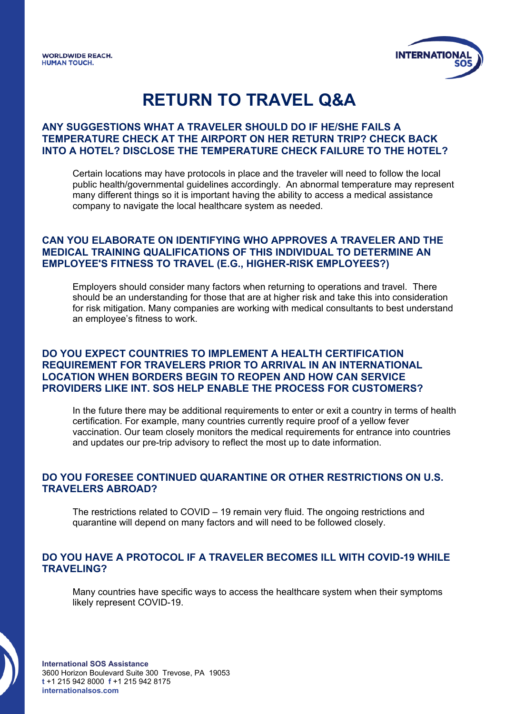

# **RETURN TO TRAVEL Q&A**

### **ANY SUGGESTIONS WHAT A TRAVELER SHOULD DO IF HE/SHE FAILS A TEMPERATURE CHECK AT THE AIRPORT ON HER RETURN TRIP? CHECK BACK INTO A HOTEL? DISCLOSE THE TEMPERATURE CHECK FAILURE TO THE HOTEL?**

Certain locations may have protocols in place and the traveler will need to follow the local public health/governmental guidelines accordingly. An abnormal temperature may represent many different things so it is important having the ability to access a medical assistance company to navigate the local healthcare system as needed.

### **CAN YOU ELABORATE ON IDENTIFYING WHO APPROVES A TRAVELER AND THE MEDICAL TRAINING QUALIFICATIONS OF THIS INDIVIDUAL TO DETERMINE AN EMPLOYEE'S FITNESS TO TRAVEL (E.G., HIGHER-RISK EMPLOYEES?)**

Employers should consider many factors when returning to operations and travel. There should be an understanding for those that are at higher risk and take this into consideration for risk mitigation. Many companies are working with medical consultants to best understand an employee's fitness to work.

### **DO YOU EXPECT COUNTRIES TO IMPLEMENT A HEALTH CERTIFICATION REQUIREMENT FOR TRAVELERS PRIOR TO ARRIVAL IN AN INTERNATIONAL LOCATION WHEN BORDERS BEGIN TO REOPEN AND HOW CAN SERVICE PROVIDERS LIKE INT. SOS HELP ENABLE THE PROCESS FOR CUSTOMERS?**

In the future there may be additional requirements to enter or exit a country in terms of health certification. For example, many countries currently require proof of a yellow fever vaccination. Our team closely monitors the medical requirements for entrance into countries and updates our pre-trip advisory to reflect the most up to date information.

### **DO YOU FORESEE CONTINUED QUARANTINE OR OTHER RESTRICTIONS ON U.S. TRAVELERS ABROAD?**

The restrictions related to COVID – 19 remain very fluid. The ongoing restrictions and quarantine will depend on many factors and will need to be followed closely.

### **DO YOU HAVE A PROTOCOL IF A TRAVELER BECOMES ILL WITH COVID-19 WHILE TRAVELING?**

Many countries have specific ways to access the healthcare system when their symptoms likely represent COVID-19.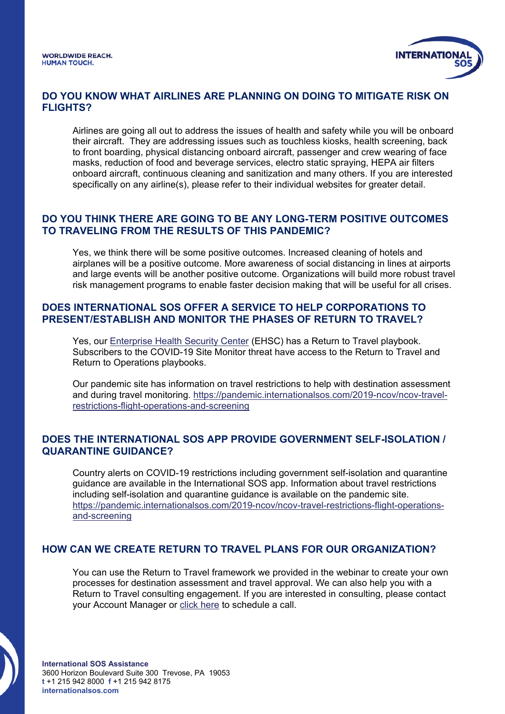

#### **DO YOU KNOW WHAT AIRLINES ARE PLANNING ON DOING TO MITIGATE RISK ON FLIGHTS?**

Airlines are going all out to address the issues of health and safety while you will be onboard their aircraft. They are addressing issues such as touchless kiosks, health screening, back to front boarding, physical distancing onboard aircraft, passenger and crew wearing of face masks, reduction of food and beverage services, electro static spraying, HEPA air filters onboard aircraft, continuous cleaning and sanitization and many others. If you are interested specifically on any airline(s), please refer to their individual websites for greater detail.

#### **DO YOU THINK THERE ARE GOING TO BE ANY LONG-TERM POSITIVE OUTCOMES TO TRAVELING FROM THE RESULTS OF THIS PANDEMIC?**

Yes, we think there will be some positive outcomes. Increased cleaning of hotels and airplanes will be a positive outcome. More awareness of social distancing in lines at airports and large events will be another positive outcome. Organizations will build more robust travel risk management programs to enable faster decision making that will be useful for all crises.

### **DOES INTERNATIONAL SOS OFFER A SERVICE TO HELP CORPORATIONS TO PRESENT/ESTABLISH AND MONITOR THE PHASES OF RETURN TO TRAVEL?**

Yes, our [Enterprise Health Security Center](https://www.internationalsos.com/us/enterprise-health-security-center) (EHSC) has a Return to Travel playbook. Subscribers to the COVID-19 Site Monitor threat have access to the Return to Travel and Return to Operations playbooks.

Our pandemic site has information on travel restrictions to help with destination assessment and during travel monitoring. [https://pandemic.internationalsos.com/2019-ncov/ncov-travel](https://pandemic.internationalsos.com/2019-ncov/ncov-travel-restrictions-flight-operations-and-screening)[restrictions-flight-operations-and-screening](https://pandemic.internationalsos.com/2019-ncov/ncov-travel-restrictions-flight-operations-and-screening)

### **DOES THE INTERNATIONAL SOS APP PROVIDE GOVERNMENT SELF-ISOLATION / QUARANTINE GUIDANCE?**

Country alerts on COVID-19 restrictions including government self-isolation and quarantine guidance are available in the International SOS app. Information about travel restrictions including self-isolation and quarantine guidance is available on the pandemic site. [https://pandemic.internationalsos.com/2019-ncov/ncov-travel-restrictions-flight-operations](https://pandemic.internationalsos.com/2019-ncov/ncov-travel-restrictions-flight-operations-and-screening)[and-screening](https://pandemic.internationalsos.com/2019-ncov/ncov-travel-restrictions-flight-operations-and-screening)

### **HOW CAN WE CREATE RETURN TO TRAVEL PLANS FOR OUR ORGANIZATION?**

You can use the Return to Travel framework we provided in the webinar to create your own processes for destination assessment and travel approval. We can also help you with a Return to Travel consulting engagement. If you are interested in consulting, please contact your Account Manager or [click here](https://my.internationalsos.com/ReturnToTravelResources) to schedule a call.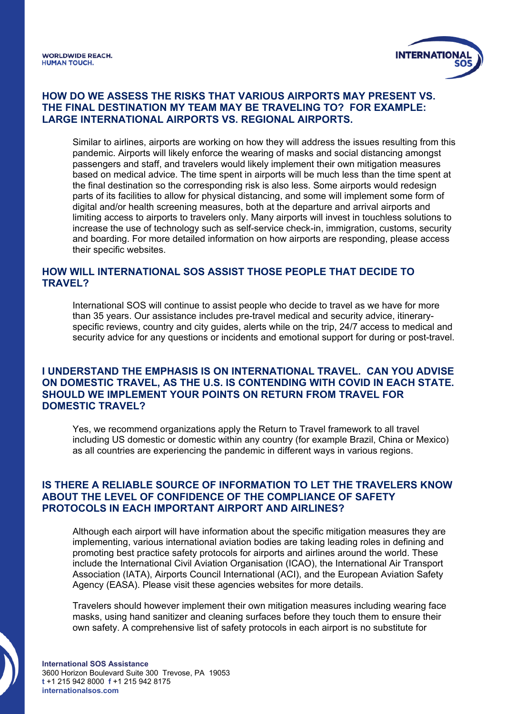

# **HOW DO WE ASSESS THE RISKS THAT VARIOUS AIRPORTS MAY PRESENT VS. THE FINAL DESTINATION MY TEAM MAY BE TRAVELING TO? FOR EXAMPLE: LARGE INTERNATIONAL AIRPORTS VS. REGIONAL AIRPORTS.**

Similar to airlines, airports are working on how they will address the issues resulting from this pandemic. Airports will likely enforce the wearing of masks and social distancing amongst passengers and staff, and travelers would likely implement their own mitigation measures based on medical advice. The time spent in airports will be much less than the time spent at the final destination so the corresponding risk is also less. Some airports would redesign parts of its facilities to allow for physical distancing, and some will implement some form of digital and/or health screening measures, both at the departure and arrival airports and limiting access to airports to travelers only. Many airports will invest in touchless solutions to increase the use of technology such as self-service check-in, immigration, customs, security and boarding. For more detailed information on how airports are responding, please access their specific websites.

#### **HOW WILL INTERNATIONAL SOS ASSIST THOSE PEOPLE THAT DECIDE TO TRAVEL?**

International SOS will continue to assist people who decide to travel as we have for more than 35 years. Our assistance includes pre-travel medical and security advice, itineraryspecific reviews, country and city guides, alerts while on the trip, 24/7 access to medical and security advice for any questions or incidents and emotional support for during or post-travel.

#### **I UNDERSTAND THE EMPHASIS IS ON INTERNATIONAL TRAVEL. CAN YOU ADVISE ON DOMESTIC TRAVEL, AS THE U.S. IS CONTENDING WITH COVID IN EACH STATE. SHOULD WE IMPLEMENT YOUR POINTS ON RETURN FROM TRAVEL FOR DOMESTIC TRAVEL?**

Yes, we recommend organizations apply the Return to Travel framework to all travel including US domestic or domestic within any country (for example Brazil, China or Mexico) as all countries are experiencing the pandemic in different ways in various regions.

#### **IS THERE A RELIABLE SOURCE OF INFORMATION TO LET THE TRAVELERS KNOW ABOUT THE LEVEL OF CONFIDENCE OF THE COMPLIANCE OF SAFETY PROTOCOLS IN EACH IMPORTANT AIRPORT AND AIRLINES?**

Although each airport will have information about the specific mitigation measures they are implementing, various international aviation bodies are taking leading roles in defining and promoting best practice safety protocols for airports and airlines around the world. These include the International Civil Aviation Organisation (ICAO), the International Air Transport Association (IATA), Airports Council International (ACI), and the European Aviation Safety Agency (EASA). Please visit these agencies websites for more details.

Travelers should however implement their own mitigation measures including wearing face masks, using hand sanitizer and cleaning surfaces before they touch them to ensure their own safety. A comprehensive list of safety protocols in each airport is no substitute for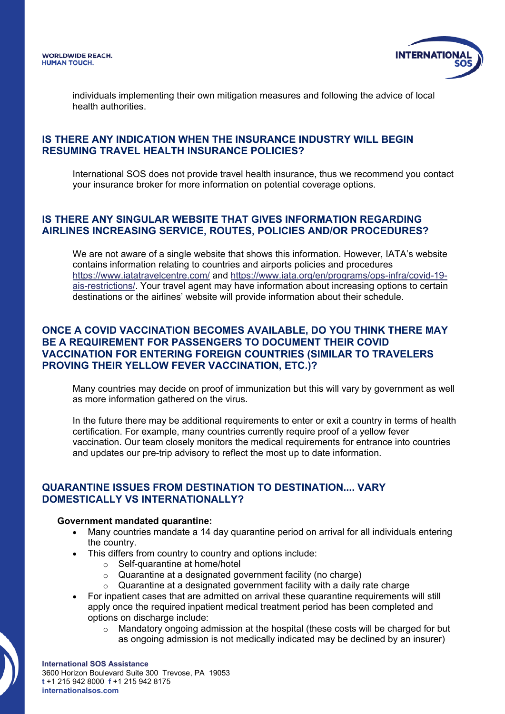

individuals implementing their own mitigation measures and following the advice of local health authorities.

#### **IS THERE ANY INDICATION WHEN THE INSURANCE INDUSTRY WILL BEGIN RESUMING TRAVEL HEALTH INSURANCE POLICIES?**

International SOS does not provide travel health insurance, thus we recommend you contact your insurance broker for more information on potential coverage options.

### **IS THERE ANY SINGULAR WEBSITE THAT GIVES INFORMATION REGARDING AIRLINES INCREASING SERVICE, ROUTES, POLICIES AND/OR PROCEDURES?**

We are not aware of a single website that shows this information. However, IATA's website contains information relating to countries and airports policies and procedures <https://www.iatatravelcentre.com/> and [https://www.iata.org/en/programs/ops-infra/covid-19](https://www.iata.org/en/programs/ops-infra/covid-19-ais-restrictions/) [ais-restrictions/.](https://www.iata.org/en/programs/ops-infra/covid-19-ais-restrictions/) Your travel agent may have information about increasing options to certain destinations or the airlines' website will provide information about their schedule.

### **ONCE A COVID VACCINATION BECOMES AVAILABLE, DO YOU THINK THERE MAY BE A REQUIREMENT FOR PASSENGERS TO DOCUMENT THEIR COVID VACCINATION FOR ENTERING FOREIGN COUNTRIES (SIMILAR TO TRAVELERS PROVING THEIR YELLOW FEVER VACCINATION, ETC.)?**

Many countries may decide on proof of immunization but this will vary by government as well as more information gathered on the virus.

In the future there may be additional requirements to enter or exit a country in terms of health certification. For example, many countries currently require proof of a yellow fever vaccination. Our team closely monitors the medical requirements for entrance into countries and updates our pre-trip advisory to reflect the most up to date information.

# **QUARANTINE ISSUES FROM DESTINATION TO DESTINATION.... VARY DOMESTICALLY VS INTERNATIONALLY?**

#### **Government mandated quarantine:**

- Many countries mandate a 14 day quarantine period on arrival for all individuals entering the country.
- This differs from country to country and options include:
	- o Self-quarantine at home/hotel
	- o Quarantine at a designated government facility (no charge)
	- $\circ$  Quarantine at a designated government facility with a daily rate charge
- For inpatient cases that are admitted on arrival these quarantine requirements will still apply once the required inpatient medical treatment period has been completed and options on discharge include:
	- $\circ$  Mandatory ongoing admission at the hospital (these costs will be charged for but as ongoing admission is not medically indicated may be declined by an insurer)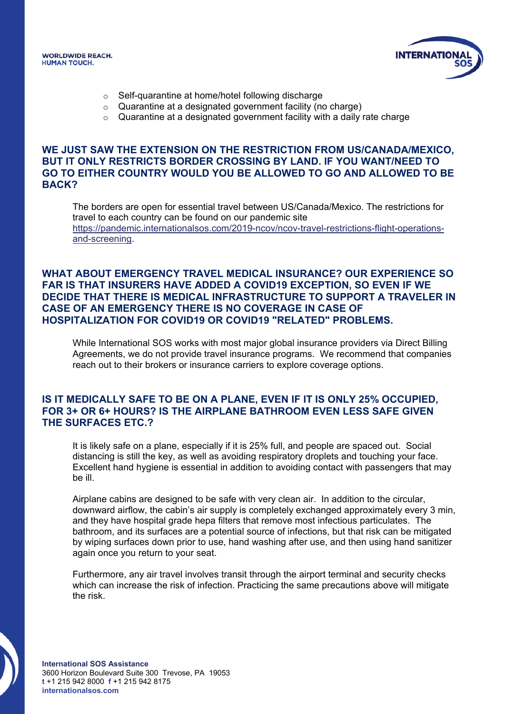



- o Self-quarantine at home/hotel following discharge
- o Quarantine at a designated government facility (no charge)
- o Quarantine at a designated government facility with a daily rate charge

#### **WE JUST SAW THE EXTENSION ON THE RESTRICTION FROM US/CANADA/MEXICO, BUT IT ONLY RESTRICTS BORDER CROSSING BY LAND. IF YOU WANT/NEED TO GO TO EITHER COUNTRY WOULD YOU BE ALLOWED TO GO AND ALLOWED TO BE BACK?**

The borders are open for essential travel between US/Canada/Mexico. The restrictions for travel to each country can be found on our pandemic site [https://pandemic.internationalsos.com/2019-ncov/ncov-travel-restrictions-flight-operations](https://pandemic.internationalsos.com/2019-ncov/ncov-travel-restrictions-flight-operations-and-screening)[and-screening.](https://pandemic.internationalsos.com/2019-ncov/ncov-travel-restrictions-flight-operations-and-screening)

#### **WHAT ABOUT EMERGENCY TRAVEL MEDICAL INSURANCE? OUR EXPERIENCE SO FAR IS THAT INSURERS HAVE ADDED A COVID19 EXCEPTION, SO EVEN IF WE DECIDE THAT THERE IS MEDICAL INFRASTRUCTURE TO SUPPORT A TRAVELER IN CASE OF AN EMERGENCY THERE IS NO COVERAGE IN CASE OF HOSPITALIZATION FOR COVID19 OR COVID19 "RELATED" PROBLEMS.**

While International SOS works with most major global insurance providers via Direct Billing Agreements, we do not provide travel insurance programs. We recommend that companies reach out to their brokers or insurance carriers to explore coverage options.

#### **IS IT MEDICALLY SAFE TO BE ON A PLANE, EVEN IF IT IS ONLY 25% OCCUPIED, FOR 3+ OR 6+ HOURS? IS THE AIRPLANE BATHROOM EVEN LESS SAFE GIVEN THE SURFACES ETC.?**

It is likely safe on a plane, especially if it is 25% full, and people are spaced out. Social distancing is still the key, as well as avoiding respiratory droplets and touching your face. Excellent hand hygiene is essential in addition to avoiding contact with passengers that may be ill.

Airplane cabins are designed to be safe with very clean air. In addition to the circular, downward airflow, the cabin's air supply is completely exchanged approximately every 3 min, and they have hospital grade hepa filters that remove most infectious particulates. The bathroom, and its surfaces are a potential source of infections, but that risk can be mitigated by wiping surfaces down prior to use, hand washing after use, and then using hand sanitizer again once you return to your seat.

Furthermore, any air travel involves transit through the airport terminal and security checks which can increase the risk of infection. Practicing the same precautions above will mitigate the risk.